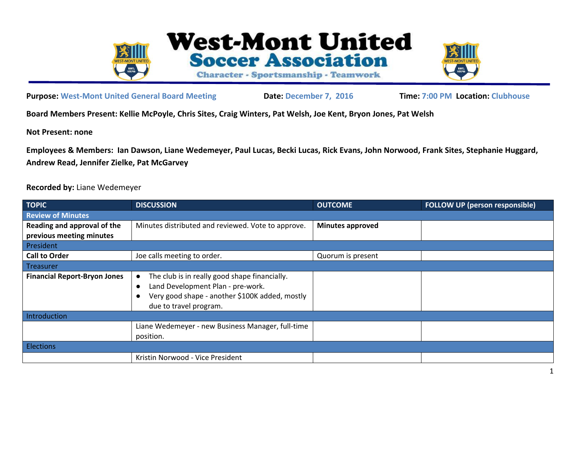



## **Purpose: West-Mont United General Board Meeting Date: December 7, 2016 Time: 7:00 PM Location: Clubhouse**

**Board Members Present: Kellie McPoyle, Chris Sites, Craig Winters, Pat Welsh, Joe Kent, Bryon Jones, Pat Welsh**

**Not Present: none**

**Employees & Members: Ian Dawson, Liane Wedemeyer, Paul Lucas, Becki Lucas, Rick Evans, John Norwood, Frank Sites, Stephanie Huggard, Andrew Read, Jennifer Zielke, Pat McGarvey**

## **Recorded by:** Liane Wedemeyer

| <b>TOPIC</b>                        | <b>DISCUSSION</b>                                                                                                                                                                        | <b>OUTCOME</b>          | <b>FOLLOW UP (person responsible)</b> |
|-------------------------------------|------------------------------------------------------------------------------------------------------------------------------------------------------------------------------------------|-------------------------|---------------------------------------|
| <b>Review of Minutes</b>            |                                                                                                                                                                                          |                         |                                       |
| Reading and approval of the         | Minutes distributed and reviewed. Vote to approve.                                                                                                                                       | <b>Minutes approved</b> |                                       |
| previous meeting minutes            |                                                                                                                                                                                          |                         |                                       |
| President                           |                                                                                                                                                                                          |                         |                                       |
| <b>Call to Order</b>                | Joe calls meeting to order.                                                                                                                                                              | Quorum is present       |                                       |
| Treasurer                           |                                                                                                                                                                                          |                         |                                       |
| <b>Financial Report-Bryon Jones</b> | The club is in really good shape financially.<br>$\bullet$<br>Land Development Plan - pre-work.<br>$\bullet$<br>Very good shape - another \$100K added, mostly<br>due to travel program. |                         |                                       |
| Introduction                        |                                                                                                                                                                                          |                         |                                       |
|                                     | Liane Wedemeyer - new Business Manager, full-time<br>position.                                                                                                                           |                         |                                       |
| <b>Elections</b>                    |                                                                                                                                                                                          |                         |                                       |
|                                     | Kristin Norwood - Vice President                                                                                                                                                         |                         |                                       |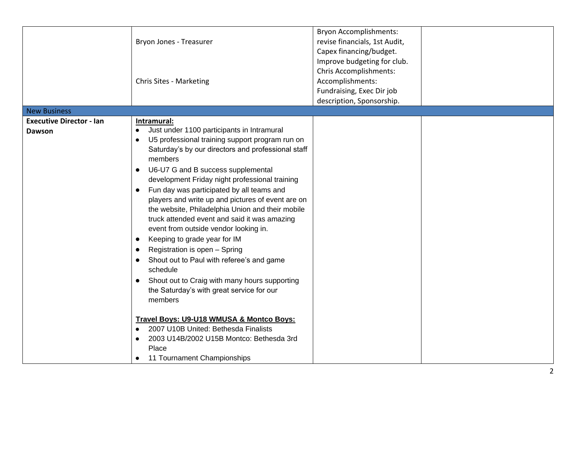|                                           | Bryon Jones - Treasurer<br><b>Chris Sites - Marketing</b>                                                                                                                                                                                                                                                                                                                                                                                                                                                                                                                                                                                                                                                                                                                                                                                                                                                                                    | <b>Bryon Accomplishments:</b><br>revise financials, 1st Audit,<br>Capex financing/budget.<br>Improve budgeting for club.<br>Chris Accomplishments:<br>Accomplishments:<br>Fundraising, Exec Dir job<br>description, Sponsorship. |  |
|-------------------------------------------|----------------------------------------------------------------------------------------------------------------------------------------------------------------------------------------------------------------------------------------------------------------------------------------------------------------------------------------------------------------------------------------------------------------------------------------------------------------------------------------------------------------------------------------------------------------------------------------------------------------------------------------------------------------------------------------------------------------------------------------------------------------------------------------------------------------------------------------------------------------------------------------------------------------------------------------------|----------------------------------------------------------------------------------------------------------------------------------------------------------------------------------------------------------------------------------|--|
| <b>New Business</b>                       |                                                                                                                                                                                                                                                                                                                                                                                                                                                                                                                                                                                                                                                                                                                                                                                                                                                                                                                                              |                                                                                                                                                                                                                                  |  |
| <b>Executive Director - Ian</b><br>Dawson | Intramural:<br>Just under 1100 participants in Intramural<br>U5 professional training support program run on<br>Saturday's by our directors and professional staff<br>members<br>U6-U7 G and B success supplemental<br>development Friday night professional training<br>Fun day was participated by all teams and<br>players and write up and pictures of event are on<br>the website, Philadelphia Union and their mobile<br>truck attended event and said it was amazing<br>event from outside vendor looking in.<br>Keeping to grade year for IM<br>$\bullet$<br>Registration is open - Spring<br>Shout out to Paul with referee's and game<br>schedule<br>Shout out to Craig with many hours supporting<br>the Saturday's with great service for our<br>members<br>Travel Boys: U9-U18 WMUSA & Montco Boys:<br>2007 U10B United: Bethesda Finalists<br>2003 U14B/2002 U15B Montco: Bethesda 3rd<br>Place<br>11 Tournament Championships |                                                                                                                                                                                                                                  |  |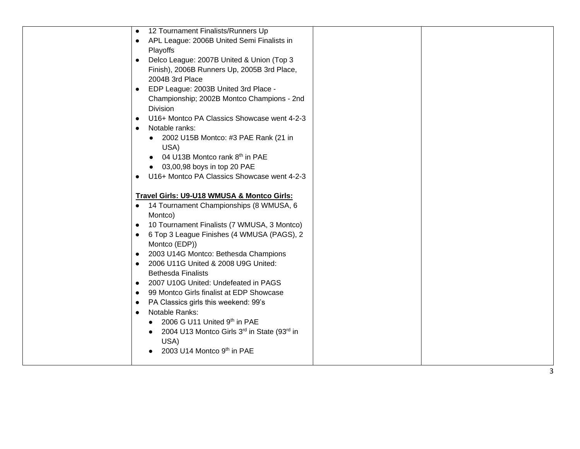| 12 Tournament Finalists/Runners Up<br>$\bullet$          |  |
|----------------------------------------------------------|--|
| APL League: 2006B United Semi Finalists in<br>$\bullet$  |  |
| Playoffs                                                 |  |
| Delco League: 2007B United & Union (Top 3<br>$\bullet$   |  |
| Finish), 2006B Runners Up, 2005B 3rd Place,              |  |
| 2004B 3rd Place                                          |  |
| EDP League: 2003B United 3rd Place -<br>$\bullet$        |  |
| Championship; 2002B Montco Champions - 2nd               |  |
| <b>Division</b>                                          |  |
| U16+ Montco PA Classics Showcase went 4-2-3<br>$\bullet$ |  |
| Notable ranks:<br>$\bullet$                              |  |
| 2002 U15B Montco: #3 PAE Rank (21 in                     |  |
| USA)                                                     |  |
| 04 U13B Montco rank 8 <sup>th</sup> in PAE               |  |
| 03,00,98 boys in top 20 PAE                              |  |
| U16+ Montco PA Classics Showcase went 4-2-3<br>$\bullet$ |  |
|                                                          |  |
| Travel Girls: U9-U18 WMUSA & Montco Girls:               |  |
| 14 Tournament Championships (8 WMUSA, 6<br>$\bullet$     |  |
| Montco)                                                  |  |
| 10 Tournament Finalists (7 WMUSA, 3 Montco)<br>$\bullet$ |  |
| 6 Top 3 League Finishes (4 WMUSA (PAGS), 2<br>$\bullet$  |  |
| Montco (EDP))                                            |  |
| 2003 U14G Montco: Bethesda Champions<br>$\bullet$        |  |
| 2006 U11G United & 2008 U9G United:<br>$\bullet$         |  |
| <b>Bethesda Finalists</b>                                |  |
| 2007 U10G United: Undefeated in PAGS<br>$\bullet$        |  |
| 99 Montco Girls finalist at EDP Showcase<br>$\bullet$    |  |
| PA Classics girls this weekend: 99's<br>$\bullet$        |  |
| Notable Ranks:<br>$\bullet$                              |  |
| 2006 G U11 United 9th in PAE                             |  |
| 2004 U13 Montco Girls 3rd in State (93rd in              |  |
| USA)                                                     |  |
| 2003 U14 Montco 9th in PAE                               |  |
|                                                          |  |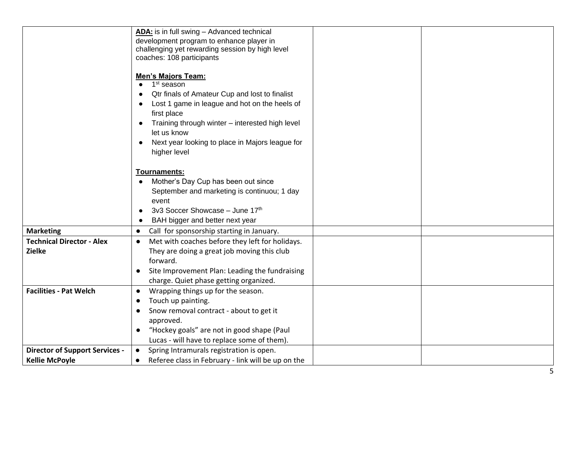|                                       | ADA: is in full swing - Advanced technical                      |
|---------------------------------------|-----------------------------------------------------------------|
|                                       | development program to enhance player in                        |
|                                       | challenging yet rewarding session by high level                 |
|                                       | coaches: 108 participants                                       |
|                                       | <b>Men's Majors Team:</b>                                       |
|                                       | 1 <sup>st</sup> season                                          |
|                                       | Qtr finals of Amateur Cup and lost to finalist                  |
|                                       | Lost 1 game in league and hot on the heels of                   |
|                                       | first place                                                     |
|                                       | Training through winter - interested high level                 |
|                                       | let us know                                                     |
|                                       | Next year looking to place in Majors league for<br>$\bullet$    |
|                                       | higher level                                                    |
|                                       |                                                                 |
|                                       | Tournaments:                                                    |
|                                       | Mother's Day Cup has been out since<br>$\bullet$                |
|                                       | September and marketing is continuou; 1 day                     |
|                                       | event                                                           |
|                                       | 3v3 Soccer Showcase - June 17th                                 |
|                                       | BAH bigger and better next year                                 |
| <b>Marketing</b>                      | Call for sponsorship starting in January.<br>$\bullet$          |
| <b>Technical Director - Alex</b>      | Met with coaches before they left for holidays.<br>$\bullet$    |
| <b>Zielke</b>                         | They are doing a great job moving this club                     |
|                                       | forward.                                                        |
|                                       | Site Improvement Plan: Leading the fundraising                  |
|                                       | charge. Quiet phase getting organized.                          |
| <b>Facilities - Pat Welch</b>         | Wrapping things up for the season.<br>$\bullet$                 |
|                                       | Touch up painting.<br>$\bullet$                                 |
|                                       | Snow removal contract - about to get it<br>$\bullet$            |
|                                       | approved.                                                       |
|                                       | "Hockey goals" are not in good shape (Paul<br>$\bullet$         |
|                                       | Lucas - will have to replace some of them).                     |
| <b>Director of Support Services -</b> | Spring Intramurals registration is open.<br>$\bullet$           |
| <b>Kellie McPoyle</b>                 | Referee class in February - link will be up on the<br>$\bullet$ |